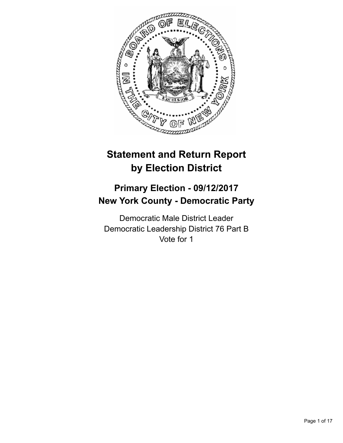

# **Statement and Return Report by Election District**

## **Primary Election - 09/12/2017 New York County - Democratic Party**

Democratic Male District Leader Democratic Leadership District 76 Part B Vote for 1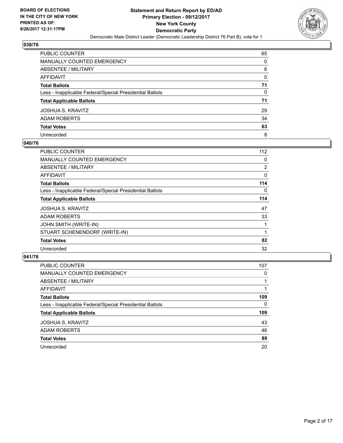

| PUBLIC COUNTER                                           | 65           |
|----------------------------------------------------------|--------------|
| <b>MANUALLY COUNTED EMERGENCY</b>                        | $\Omega$     |
| ABSENTEE / MILITARY                                      | 6            |
| <b>AFFIDAVIT</b>                                         | 0            |
| <b>Total Ballots</b>                                     | 71           |
| Less - Inapplicable Federal/Special Presidential Ballots | $\mathbf{0}$ |
| <b>Total Applicable Ballots</b>                          | 71           |
| JOSHUA S. KRAVITZ                                        | 29           |
| <b>ADAM ROBERTS</b>                                      | 34           |
| <b>Total Votes</b>                                       | 63           |
| Unrecorded                                               | 8            |

## **040/76**

| <b>PUBLIC COUNTER</b>                                    | 112            |
|----------------------------------------------------------|----------------|
| MANUALLY COUNTED EMERGENCY                               | 0              |
| ABSENTEE / MILITARY                                      | $\overline{2}$ |
| AFFIDAVIT                                                | 0              |
| <b>Total Ballots</b>                                     | 114            |
| Less - Inapplicable Federal/Special Presidential Ballots | 0              |
| <b>Total Applicable Ballots</b>                          | 114            |
| <b>JOSHUA S. KRAVITZ</b>                                 | 47             |
| <b>ADAM ROBERTS</b>                                      | 33             |
| <b>JOHN SMITH (WRITE-IN)</b>                             |                |
| STUART SCHENENDORF (WRITE-IN)                            |                |
| <b>Total Votes</b>                                       | 82             |
| Unrecorded                                               | 32             |

| <b>PUBLIC COUNTER</b>                                    | 107 |
|----------------------------------------------------------|-----|
| <b>MANUALLY COUNTED EMERGENCY</b>                        | 0   |
| ABSENTEE / MILITARY                                      |     |
| AFFIDAVIT                                                |     |
| <b>Total Ballots</b>                                     | 109 |
| Less - Inapplicable Federal/Special Presidential Ballots | 0   |
| <b>Total Applicable Ballots</b>                          | 109 |
| <b>JOSHUA S. KRAVITZ</b>                                 | 43  |
| <b>ADAM ROBERTS</b>                                      | 46  |
| <b>Total Votes</b>                                       | 89  |
| Unrecorded                                               | 20  |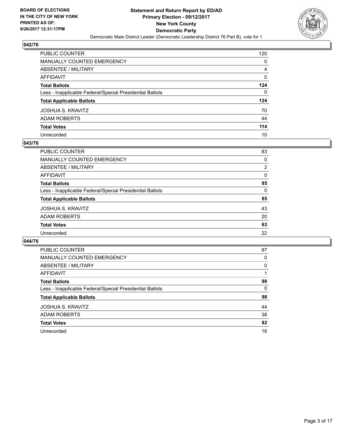

| PUBLIC COUNTER                                           | 120 |
|----------------------------------------------------------|-----|
| <b>MANUALLY COUNTED EMERGENCY</b>                        | 0   |
| <b>ABSENTEE / MILITARY</b>                               | 4   |
| <b>AFFIDAVIT</b>                                         | 0   |
| <b>Total Ballots</b>                                     | 124 |
| Less - Inapplicable Federal/Special Presidential Ballots | 0   |
| <b>Total Applicable Ballots</b>                          | 124 |
| <b>JOSHUA S. KRAVITZ</b>                                 | 70  |
| <b>ADAM ROBERTS</b>                                      | 44  |
| <b>Total Votes</b>                                       | 114 |
| Unrecorded                                               | 10  |

## **043/76**

| PUBLIC COUNTER                                           | 83       |
|----------------------------------------------------------|----------|
| MANUALLY COUNTED EMERGENCY                               | 0        |
| ABSENTEE / MILITARY                                      | 2        |
| AFFIDAVIT                                                | $\Omega$ |
| <b>Total Ballots</b>                                     | 85       |
| Less - Inapplicable Federal/Special Presidential Ballots | 0        |
| <b>Total Applicable Ballots</b>                          | 85       |
| <b>JOSHUA S. KRAVITZ</b>                                 | 43       |
| <b>ADAM ROBERTS</b>                                      | 20       |
| <b>Total Votes</b>                                       | 63       |
| Unrecorded                                               | 22       |
|                                                          |          |

| <b>PUBLIC COUNTER</b>                                    | 97 |
|----------------------------------------------------------|----|
| MANUALLY COUNTED EMERGENCY                               | 0  |
| ABSENTEE / MILITARY                                      | 0  |
| AFFIDAVIT                                                |    |
| <b>Total Ballots</b>                                     | 98 |
| Less - Inapplicable Federal/Special Presidential Ballots | 0  |
| <b>Total Applicable Ballots</b>                          | 98 |
| <b>JOSHUA S. KRAVITZ</b>                                 | 44 |
| ADAM ROBERTS                                             | 38 |
| <b>Total Votes</b>                                       | 82 |
| Unrecorded                                               | 16 |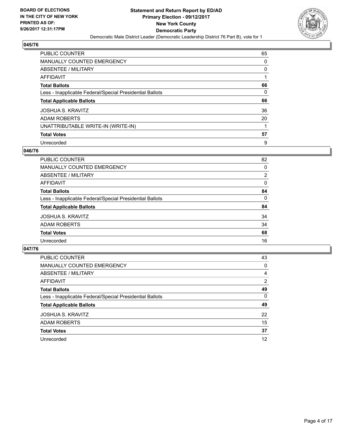

| PUBLIC COUNTER                                           | 65 |
|----------------------------------------------------------|----|
| <b>MANUALLY COUNTED EMERGENCY</b>                        | 0  |
| ABSENTEE / MILITARY                                      | 0  |
| AFFIDAVIT                                                |    |
| <b>Total Ballots</b>                                     | 66 |
| Less - Inapplicable Federal/Special Presidential Ballots | 0  |
| <b>Total Applicable Ballots</b>                          | 66 |
| <b>JOSHUA S. KRAVITZ</b>                                 | 36 |
| <b>ADAM ROBERTS</b>                                      | 20 |
| UNATTRIBUTABLE WRITE-IN (WRITE-IN)                       |    |
| <b>Total Votes</b>                                       | 57 |
| Unrecorded                                               | 9  |

## **046/76**

| <b>PUBLIC COUNTER</b>                                    | 82             |
|----------------------------------------------------------|----------------|
| MANUALLY COUNTED EMERGENCY                               | 0              |
| ABSENTEE / MILITARY                                      | $\overline{2}$ |
| AFFIDAVIT                                                | 0              |
| <b>Total Ballots</b>                                     | 84             |
| Less - Inapplicable Federal/Special Presidential Ballots | $\Omega$       |
| <b>Total Applicable Ballots</b>                          | 84             |
| <b>JOSHUA S. KRAVITZ</b>                                 | 34             |
| <b>ADAM ROBERTS</b>                                      | 34             |
| <b>Total Votes</b>                                       | 68             |
| Unrecorded                                               | 16             |
|                                                          |                |

| <b>PUBLIC COUNTER</b>                                    | 43 |
|----------------------------------------------------------|----|
| MANUALLY COUNTED EMERGENCY                               | 0  |
| ABSENTEE / MILITARY                                      | 4  |
| AFFIDAVIT                                                | 2  |
| <b>Total Ballots</b>                                     | 49 |
| Less - Inapplicable Federal/Special Presidential Ballots | 0  |
| <b>Total Applicable Ballots</b>                          | 49 |
| <b>JOSHUA S. KRAVITZ</b>                                 | 22 |
| <b>ADAM ROBERTS</b>                                      | 15 |
| <b>Total Votes</b>                                       | 37 |
| Unrecorded                                               | 12 |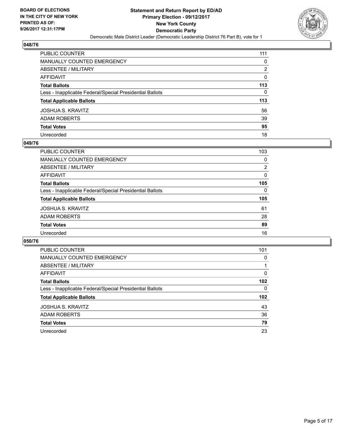

| PUBLIC COUNTER                                           | 111 |
|----------------------------------------------------------|-----|
| <b>MANUALLY COUNTED EMERGENCY</b>                        | 0   |
| <b>ABSENTEE / MILITARY</b>                               | 2   |
| <b>AFFIDAVIT</b>                                         | 0   |
| <b>Total Ballots</b>                                     | 113 |
| Less - Inapplicable Federal/Special Presidential Ballots | 0   |
| <b>Total Applicable Ballots</b>                          | 113 |
| <b>JOSHUA S. KRAVITZ</b>                                 | 56  |
| <b>ADAM ROBERTS</b>                                      | 39  |
| <b>Total Votes</b>                                       | 95  |
| Unrecorded                                               | 18  |

## **049/76**

| PUBLIC COUNTER                                           | 103 |
|----------------------------------------------------------|-----|
| <b>MANUALLY COUNTED EMERGENCY</b>                        | 0   |
| ABSENTEE / MILITARY                                      | 2   |
| AFFIDAVIT                                                | 0   |
| <b>Total Ballots</b>                                     | 105 |
| Less - Inapplicable Federal/Special Presidential Ballots | 0   |
| <b>Total Applicable Ballots</b>                          | 105 |
| <b>JOSHUA S. KRAVITZ</b>                                 | 61  |
| <b>ADAM ROBERTS</b>                                      | 28  |
| <b>Total Votes</b>                                       | 89  |
| Unrecorded                                               | 16  |

| <b>PUBLIC COUNTER</b>                                    | 101              |
|----------------------------------------------------------|------------------|
| <b>MANUALLY COUNTED EMERGENCY</b>                        | 0                |
| ABSENTEE / MILITARY                                      |                  |
| AFFIDAVIT                                                | 0                |
| <b>Total Ballots</b>                                     | 102              |
| Less - Inapplicable Federal/Special Presidential Ballots | 0                |
| <b>Total Applicable Ballots</b>                          | 102 <sub>2</sub> |
| <b>JOSHUA S. KRAVITZ</b>                                 | 43               |
| <b>ADAM ROBERTS</b>                                      | 36               |
| <b>Total Votes</b>                                       | 79               |
| Unrecorded                                               | 23               |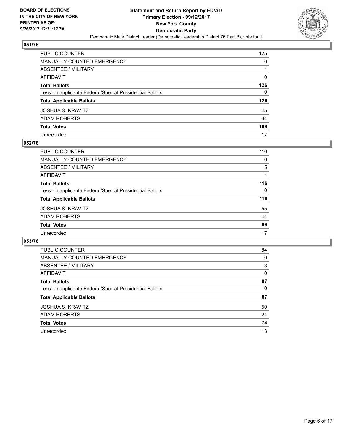

| <b>PUBLIC COUNTER</b>                                    | 125 |
|----------------------------------------------------------|-----|
| <b>MANUALLY COUNTED EMERGENCY</b>                        | 0   |
| <b>ABSENTEE / MILITARY</b>                               |     |
| <b>AFFIDAVIT</b>                                         | 0   |
| <b>Total Ballots</b>                                     | 126 |
| Less - Inapplicable Federal/Special Presidential Ballots | 0   |
| <b>Total Applicable Ballots</b>                          | 126 |
| <b>JOSHUA S. KRAVITZ</b>                                 | 45  |
| <b>ADAM ROBERTS</b>                                      | 64  |
| <b>Total Votes</b>                                       | 109 |
| Unrecorded                                               | 17  |

#### **052/76**

| PUBLIC COUNTER                                           | 110      |
|----------------------------------------------------------|----------|
| MANUALLY COUNTED EMERGENCY                               | $\Omega$ |
| ABSENTEE / MILITARY                                      | 5        |
| AFFIDAVIT                                                |          |
| <b>Total Ballots</b>                                     | 116      |
| Less - Inapplicable Federal/Special Presidential Ballots | $\Omega$ |
| <b>Total Applicable Ballots</b>                          | 116      |
| <b>JOSHUA S. KRAVITZ</b>                                 | 55       |
| <b>ADAM ROBERTS</b>                                      | 44       |
| <b>Total Votes</b>                                       | 99       |
| Unrecorded                                               | 17       |

| <b>PUBLIC COUNTER</b>                                    | 84 |
|----------------------------------------------------------|----|
| MANUALLY COUNTED EMERGENCY                               | 0  |
| ABSENTEE / MILITARY                                      | 3  |
| AFFIDAVIT                                                | 0  |
| <b>Total Ballots</b>                                     | 87 |
| Less - Inapplicable Federal/Special Presidential Ballots | 0  |
| <b>Total Applicable Ballots</b>                          | 87 |
| <b>JOSHUA S. KRAVITZ</b>                                 | 50 |
| <b>ADAM ROBERTS</b>                                      | 24 |
| <b>Total Votes</b>                                       | 74 |
| Unrecorded                                               | 13 |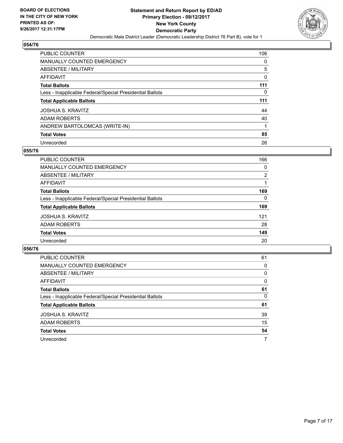

| <b>PUBLIC COUNTER</b>                                    | 106 |
|----------------------------------------------------------|-----|
| <b>MANUALLY COUNTED EMERGENCY</b>                        | 0   |
| ABSENTEE / MILITARY                                      | 5   |
| AFFIDAVIT                                                | 0   |
| <b>Total Ballots</b>                                     | 111 |
| Less - Inapplicable Federal/Special Presidential Ballots | 0   |
|                                                          | 111 |
| <b>Total Applicable Ballots</b>                          |     |
| <b>JOSHUA S. KRAVITZ</b>                                 | 44  |
| <b>ADAM ROBERTS</b>                                      | 40  |
| ANDREW BARTOLOMCAS (WRITE-IN)                            |     |
| <b>Total Votes</b>                                       | 85  |

## **055/76**

| <b>PUBLIC COUNTER</b>                                    | 166            |
|----------------------------------------------------------|----------------|
| <b>MANUALLY COUNTED EMERGENCY</b>                        | 0              |
| ABSENTEE / MILITARY                                      | $\overline{2}$ |
| AFFIDAVIT                                                |                |
| <b>Total Ballots</b>                                     | 169            |
| Less - Inapplicable Federal/Special Presidential Ballots | $\Omega$       |
| <b>Total Applicable Ballots</b>                          | 169            |
| <b>JOSHUA S. KRAVITZ</b>                                 | 121            |
| <b>ADAM ROBERTS</b>                                      | 28             |
| <b>Total Votes</b>                                       | 149            |
| Unrecorded                                               | 20             |

| <b>PUBLIC COUNTER</b>                                    | 61 |
|----------------------------------------------------------|----|
| MANUALLY COUNTED EMERGENCY                               | 0  |
| ABSENTEE / MILITARY                                      | 0  |
| AFFIDAVIT                                                | 0  |
| <b>Total Ballots</b>                                     | 61 |
| Less - Inapplicable Federal/Special Presidential Ballots | 0  |
| <b>Total Applicable Ballots</b>                          | 61 |
| <b>JOSHUA S. KRAVITZ</b>                                 | 39 |
| ADAM ROBERTS                                             | 15 |
| <b>Total Votes</b>                                       | 54 |
| Unrecorded                                               | 7  |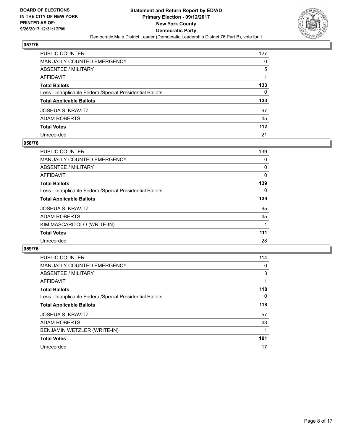

| PUBLIC COUNTER                                           | 127 |
|----------------------------------------------------------|-----|
| <b>MANUALLY COUNTED EMERGENCY</b>                        | 0   |
| <b>ABSENTEE / MILITARY</b>                               | 5   |
| <b>AFFIDAVIT</b>                                         |     |
| <b>Total Ballots</b>                                     | 133 |
| Less - Inapplicable Federal/Special Presidential Ballots | 0   |
| <b>Total Applicable Ballots</b>                          | 133 |
| <b>JOSHUA S. KRAVITZ</b>                                 | 67  |
| <b>ADAM ROBERTS</b>                                      | 45  |
| <b>Total Votes</b>                                       | 112 |
| Unrecorded                                               | 21  |

## **058/76**

| <b>PUBLIC COUNTER</b>                                    | 139 |
|----------------------------------------------------------|-----|
| <b>MANUALLY COUNTED EMERGENCY</b>                        | 0   |
| ABSENTEE / MILITARY                                      | 0   |
| AFFIDAVIT                                                | 0   |
| <b>Total Ballots</b>                                     | 139 |
| Less - Inapplicable Federal/Special Presidential Ballots | 0   |
| <b>Total Applicable Ballots</b>                          | 139 |
| <b>JOSHUA S. KRAVITZ</b>                                 | 65  |
| <b>ADAM ROBERTS</b>                                      | 45  |
| KIM MASCARITOLO (WRITE-IN)                               |     |
| <b>Total Votes</b>                                       | 111 |
| Unrecorded                                               | 28  |

| <b>PUBLIC COUNTER</b>                                    | 114      |
|----------------------------------------------------------|----------|
| <b>MANUALLY COUNTED EMERGENCY</b>                        | 0        |
| ABSENTEE / MILITARY                                      | 3        |
| AFFIDAVIT                                                |          |
| <b>Total Ballots</b>                                     | 118      |
| Less - Inapplicable Federal/Special Presidential Ballots | $\Omega$ |
| <b>Total Applicable Ballots</b>                          | 118      |
| <b>JOSHUA S. KRAVITZ</b>                                 | 57       |
| <b>ADAM ROBERTS</b>                                      | 43       |
| BENJAMIN WETZLER (WRITE-IN)                              |          |
| <b>Total Votes</b>                                       | 101      |
| Unrecorded                                               | 17       |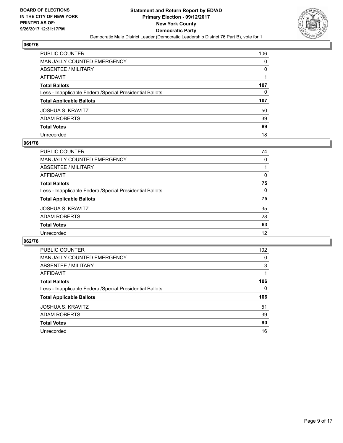

| <b>PUBLIC COUNTER</b>                                    | 106 |
|----------------------------------------------------------|-----|
| <b>MANUALLY COUNTED EMERGENCY</b>                        | 0   |
| ABSENTEE / MILITARY                                      | 0   |
| <b>AFFIDAVIT</b>                                         |     |
| <b>Total Ballots</b>                                     | 107 |
| Less - Inapplicable Federal/Special Presidential Ballots | 0   |
| <b>Total Applicable Ballots</b>                          | 107 |
| JOSHUA S. KRAVITZ                                        | 50  |
| <b>ADAM ROBERTS</b>                                      | 39  |
| <b>Total Votes</b>                                       | 89  |
| Unrecorded                                               | 18  |

## **061/76**

| PUBLIC COUNTER                                           | 74 |
|----------------------------------------------------------|----|
| MANUALLY COUNTED EMERGENCY                               | 0  |
| ABSENTEE / MILITARY                                      |    |
| AFFIDAVIT                                                | 0  |
| <b>Total Ballots</b>                                     | 75 |
| Less - Inapplicable Federal/Special Presidential Ballots | 0  |
| <b>Total Applicable Ballots</b>                          | 75 |
| <b>JOSHUA S. KRAVITZ</b>                                 | 35 |
| <b>ADAM ROBERTS</b>                                      | 28 |
| <b>Total Votes</b>                                       | 63 |
| Unrecorded                                               | 12 |
|                                                          |    |

| <b>PUBLIC COUNTER</b>                                    | 102 |
|----------------------------------------------------------|-----|
| <b>MANUALLY COUNTED EMERGENCY</b>                        | 0   |
| ABSENTEE / MILITARY                                      | 3   |
| AFFIDAVIT                                                |     |
| <b>Total Ballots</b>                                     | 106 |
| Less - Inapplicable Federal/Special Presidential Ballots | 0   |
| <b>Total Applicable Ballots</b>                          | 106 |
| <b>JOSHUA S. KRAVITZ</b>                                 | 51  |
| <b>ADAM ROBERTS</b>                                      | 39  |
| <b>Total Votes</b>                                       | 90  |
| Unrecorded                                               | 16  |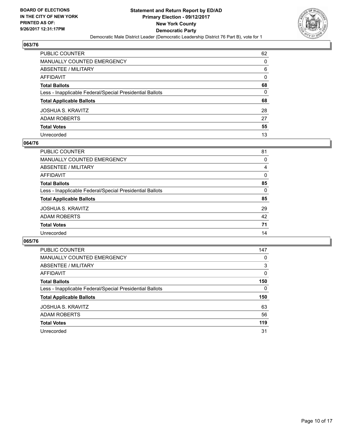

| PUBLIC COUNTER                                           | 62           |
|----------------------------------------------------------|--------------|
| <b>MANUALLY COUNTED EMERGENCY</b>                        | $\Omega$     |
| ABSENTEE / MILITARY                                      | 6            |
| <b>AFFIDAVIT</b>                                         | 0            |
| <b>Total Ballots</b>                                     | 68           |
| Less - Inapplicable Federal/Special Presidential Ballots | $\mathbf{0}$ |
| <b>Total Applicable Ballots</b>                          | 68           |
| JOSHUA S. KRAVITZ                                        | 28           |
| <b>ADAM ROBERTS</b>                                      | 27           |
| <b>Total Votes</b>                                       | 55           |
| Unrecorded                                               | 13           |

## **064/76**

| PUBLIC COUNTER                                           | 81 |
|----------------------------------------------------------|----|
| <b>MANUALLY COUNTED EMERGENCY</b>                        | 0  |
| ABSENTEE / MILITARY                                      | 4  |
| AFFIDAVIT                                                | 0  |
| <b>Total Ballots</b>                                     | 85 |
| Less - Inapplicable Federal/Special Presidential Ballots | 0  |
| <b>Total Applicable Ballots</b>                          | 85 |
| <b>JOSHUA S. KRAVITZ</b>                                 | 29 |
| <b>ADAM ROBERTS</b>                                      | 42 |
| <b>Total Votes</b>                                       | 71 |
| Unrecorded                                               | 14 |

| <b>PUBLIC COUNTER</b>                                    | 147 |
|----------------------------------------------------------|-----|
| <b>MANUALLY COUNTED EMERGENCY</b>                        | 0   |
| ABSENTEE / MILITARY                                      | 3   |
| AFFIDAVIT                                                | 0   |
| <b>Total Ballots</b>                                     | 150 |
| Less - Inapplicable Federal/Special Presidential Ballots | 0   |
| <b>Total Applicable Ballots</b>                          | 150 |
| <b>JOSHUA S. KRAVITZ</b>                                 | 63  |
| ADAM ROBERTS                                             | 56  |
| <b>Total Votes</b>                                       | 119 |
| Unrecorded                                               | 31  |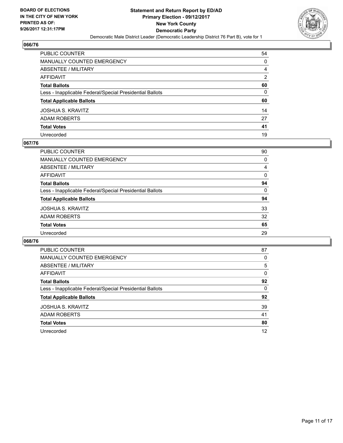

| PUBLIC COUNTER                                           | 54 |
|----------------------------------------------------------|----|
| MANUALLY COUNTED EMERGENCY                               | 0  |
| ABSENTEE / MILITARY                                      | 4  |
| AFFIDAVIT                                                | 2  |
| <b>Total Ballots</b>                                     | 60 |
| Less - Inapplicable Federal/Special Presidential Ballots | 0  |
| <b>Total Applicable Ballots</b>                          | 60 |
| JOSHUA S. KRAVITZ                                        | 14 |
| ADAM ROBERTS                                             | 27 |
| <b>Total Votes</b>                                       | 41 |
| Unrecorded                                               | 19 |

## **067/76**

| <b>PUBLIC COUNTER</b>                                    | 90 |
|----------------------------------------------------------|----|
| <b>MANUALLY COUNTED EMERGENCY</b>                        | 0  |
| ABSENTEE / MILITARY                                      | 4  |
| AFFIDAVIT                                                | 0  |
| <b>Total Ballots</b>                                     | 94 |
| Less - Inapplicable Federal/Special Presidential Ballots | 0  |
| <b>Total Applicable Ballots</b>                          | 94 |
| <b>JOSHUA S. KRAVITZ</b>                                 | 33 |
| <b>ADAM ROBERTS</b>                                      | 32 |
| <b>Total Votes</b>                                       | 65 |
| Unrecorded                                               | 29 |

| <b>PUBLIC COUNTER</b>                                    | 87 |
|----------------------------------------------------------|----|
| <b>MANUALLY COUNTED EMERGENCY</b>                        | 0  |
| ABSENTEE / MILITARY                                      | 5  |
| AFFIDAVIT                                                | 0  |
| <b>Total Ballots</b>                                     | 92 |
| Less - Inapplicable Federal/Special Presidential Ballots | 0  |
| <b>Total Applicable Ballots</b>                          | 92 |
| <b>JOSHUA S. KRAVITZ</b>                                 | 39 |
| <b>ADAM ROBERTS</b>                                      | 41 |
| <b>Total Votes</b>                                       | 80 |
| Unrecorded                                               | 12 |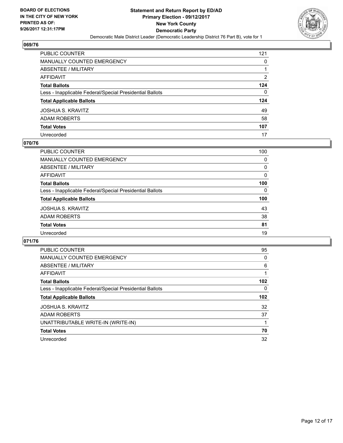

| <b>PUBLIC COUNTER</b>                                    | 121 |
|----------------------------------------------------------|-----|
| <b>MANUALLY COUNTED EMERGENCY</b>                        | 0   |
| ABSENTEE / MILITARY                                      |     |
| <b>AFFIDAVIT</b>                                         | 2   |
| <b>Total Ballots</b>                                     | 124 |
| Less - Inapplicable Federal/Special Presidential Ballots | 0   |
| <b>Total Applicable Ballots</b>                          | 124 |
| <b>JOSHUA S. KRAVITZ</b>                                 | 49  |
| <b>ADAM ROBERTS</b>                                      | 58  |
| <b>Total Votes</b>                                       | 107 |
| Unrecorded                                               | 17  |

## **070/76**

| PUBLIC COUNTER                                           | 100 |
|----------------------------------------------------------|-----|
| MANUALLY COUNTED EMERGENCY                               | 0   |
| ABSENTEE / MILITARY                                      | 0   |
| AFFIDAVIT                                                | 0   |
| <b>Total Ballots</b>                                     | 100 |
| Less - Inapplicable Federal/Special Presidential Ballots | 0   |
| <b>Total Applicable Ballots</b>                          | 100 |
| <b>JOSHUA S. KRAVITZ</b>                                 | 43  |
| <b>ADAM ROBERTS</b>                                      | 38  |
| <b>Total Votes</b>                                       | 81  |
| Unrecorded                                               | 19  |

| <b>PUBLIC COUNTER</b>                                    | 95  |
|----------------------------------------------------------|-----|
| <b>MANUALLY COUNTED EMERGENCY</b>                        | 0   |
| ABSENTEE / MILITARY                                      | 6   |
| <b>AFFIDAVIT</b>                                         |     |
| <b>Total Ballots</b>                                     | 102 |
| Less - Inapplicable Federal/Special Presidential Ballots | 0   |
| <b>Total Applicable Ballots</b>                          | 102 |
| <b>JOSHUA S. KRAVITZ</b>                                 | 32  |
| <b>ADAM ROBERTS</b>                                      | 37  |
| UNATTRIBUTABLE WRITE-IN (WRITE-IN)                       |     |
| <b>Total Votes</b>                                       | 70  |
| Unrecorded                                               | 32  |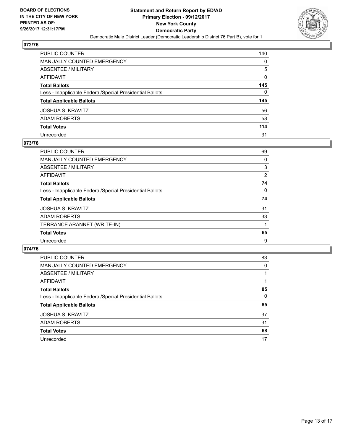

| PUBLIC COUNTER                                           | 140          |
|----------------------------------------------------------|--------------|
| <b>MANUALLY COUNTED EMERGENCY</b>                        | 0            |
| <b>ABSENTEE / MILITARY</b>                               | 5            |
| AFFIDAVIT                                                | 0            |
| <b>Total Ballots</b>                                     | 145          |
| Less - Inapplicable Federal/Special Presidential Ballots | $\mathbf{0}$ |
| <b>Total Applicable Ballots</b>                          | 145          |
| JOSHUA S. KRAVITZ                                        | 56           |
| ADAM ROBERTS                                             | 58           |
| <b>Total Votes</b>                                       | 114          |
| Unrecorded                                               | 31           |

## **073/76**

| <b>PUBLIC COUNTER</b>                                    | 69 |
|----------------------------------------------------------|----|
| <b>MANUALLY COUNTED EMERGENCY</b>                        | 0  |
| ABSENTEE / MILITARY                                      | 3  |
| AFFIDAVIT                                                | 2  |
| <b>Total Ballots</b>                                     | 74 |
| Less - Inapplicable Federal/Special Presidential Ballots | 0  |
| <b>Total Applicable Ballots</b>                          | 74 |
| <b>JOSHUA S. KRAVITZ</b>                                 | 31 |
| <b>ADAM ROBERTS</b>                                      | 33 |
| TERRANCE ARANNET (WRITE-IN)                              |    |
| <b>Total Votes</b>                                       | 65 |
| Unrecorded                                               | 9  |

| <b>PUBLIC COUNTER</b>                                    | 83 |
|----------------------------------------------------------|----|
| MANUALLY COUNTED EMERGENCY                               | 0  |
| ABSENTEE / MILITARY                                      |    |
| AFFIDAVIT                                                |    |
| <b>Total Ballots</b>                                     | 85 |
| Less - Inapplicable Federal/Special Presidential Ballots | 0  |
| <b>Total Applicable Ballots</b>                          | 85 |
| <b>JOSHUA S. KRAVITZ</b>                                 | 37 |
| <b>ADAM ROBERTS</b>                                      | 31 |
| <b>Total Votes</b>                                       | 68 |
| Unrecorded                                               | 17 |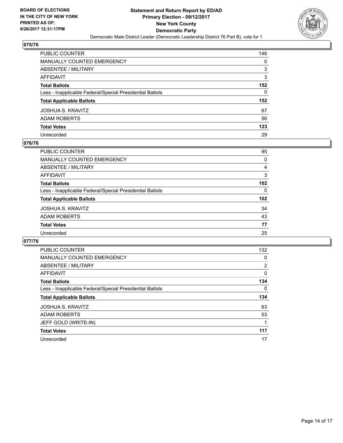

| <b>PUBLIC COUNTER</b>                                    | 146          |
|----------------------------------------------------------|--------------|
| <b>MANUALLY COUNTED EMERGENCY</b>                        | 0            |
| ABSENTEE / MILITARY                                      | 3            |
| <b>AFFIDAVIT</b>                                         | 3            |
| <b>Total Ballots</b>                                     | 152          |
| Less - Inapplicable Federal/Special Presidential Ballots | $\mathbf{0}$ |
| <b>Total Applicable Ballots</b>                          | 152          |
| JOSHUA S. KRAVITZ                                        | 67           |
| <b>ADAM ROBERTS</b>                                      | 56           |
| <b>Total Votes</b>                                       | 123          |
| Unrecorded                                               | 29           |

## **076/76**

| PUBLIC COUNTER                                           | 95               |
|----------------------------------------------------------|------------------|
| MANUALLY COUNTED EMERGENCY                               | 0                |
| ABSENTEE / MILITARY                                      | 4                |
| AFFIDAVIT                                                | 3                |
| <b>Total Ballots</b>                                     | 102              |
| Less - Inapplicable Federal/Special Presidential Ballots | $\Omega$         |
| <b>Total Applicable Ballots</b>                          | 102 <sub>2</sub> |
| <b>JOSHUA S. KRAVITZ</b>                                 | 34               |
| <b>ADAM ROBERTS</b>                                      | 43               |
| <b>Total Votes</b>                                       | 77               |
| Unrecorded                                               | 25               |
|                                                          |                  |

| <b>PUBLIC COUNTER</b>                                    | 132            |
|----------------------------------------------------------|----------------|
| MANUALLY COUNTED EMERGENCY                               | 0              |
| ABSENTEE / MILITARY                                      | $\overline{2}$ |
| AFFIDAVIT                                                | 0              |
| <b>Total Ballots</b>                                     | 134            |
| Less - Inapplicable Federal/Special Presidential Ballots | 0              |
| <b>Total Applicable Ballots</b>                          | 134            |
| <b>JOSHUA S. KRAVITZ</b>                                 | 63             |
| <b>ADAM ROBERTS</b>                                      | 53             |
| JEFF GOLD (WRITE-IN)                                     |                |
| <b>Total Votes</b>                                       | 117            |
| Unrecorded                                               | 17             |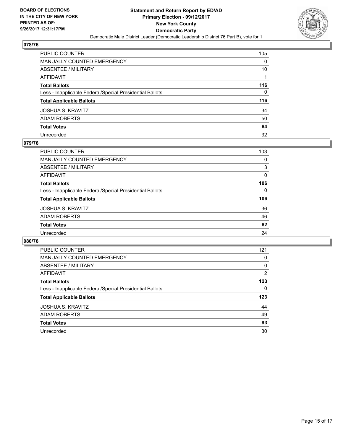

| PUBLIC COUNTER                                           | 105 |
|----------------------------------------------------------|-----|
| MANUALLY COUNTED EMERGENCY                               | 0   |
| <b>ABSENTEE / MILITARY</b>                               | 10  |
| <b>AFFIDAVIT</b>                                         |     |
| <b>Total Ballots</b>                                     | 116 |
| Less - Inapplicable Federal/Special Presidential Ballots | 0   |
| <b>Total Applicable Ballots</b>                          | 116 |
| <b>JOSHUA S. KRAVITZ</b>                                 | 34  |
| <b>ADAM ROBERTS</b>                                      | 50  |
| <b>Total Votes</b>                                       | 84  |
| Unrecorded                                               | 32  |

## **079/76**

| PUBLIC COUNTER                                           | 103      |
|----------------------------------------------------------|----------|
| <b>MANUALLY COUNTED EMERGENCY</b>                        | 0        |
| ABSENTEE / MILITARY                                      | 3        |
| AFFIDAVIT                                                | $\Omega$ |
| <b>Total Ballots</b>                                     | 106      |
| Less - Inapplicable Federal/Special Presidential Ballots | 0        |
| <b>Total Applicable Ballots</b>                          | 106      |
| <b>JOSHUA S. KRAVITZ</b>                                 | 36       |
| <b>ADAM ROBERTS</b>                                      | 46       |
| <b>Total Votes</b>                                       | 82       |
| Unrecorded                                               | 24       |

| <b>PUBLIC COUNTER</b>                                    | 121            |
|----------------------------------------------------------|----------------|
| <b>MANUALLY COUNTED EMERGENCY</b>                        | 0              |
| ABSENTEE / MILITARY                                      | 0              |
| AFFIDAVIT                                                | $\overline{2}$ |
| <b>Total Ballots</b>                                     | 123            |
| Less - Inapplicable Federal/Special Presidential Ballots | 0              |
| <b>Total Applicable Ballots</b>                          | 123            |
| <b>JOSHUA S. KRAVITZ</b>                                 | 44             |
| <b>ADAM ROBERTS</b>                                      | 49             |
| <b>Total Votes</b>                                       | 93             |
| Unrecorded                                               | 30             |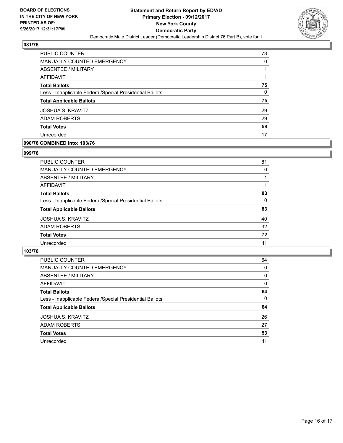

| <b>PUBLIC COUNTER</b>                                    | 73 |
|----------------------------------------------------------|----|
| MANUALLY COUNTED EMERGENCY                               | 0  |
| ABSENTEE / MILITARY                                      |    |
| AFFIDAVIT                                                |    |
| <b>Total Ballots</b>                                     | 75 |
| Less - Inapplicable Federal/Special Presidential Ballots | 0  |
| <b>Total Applicable Ballots</b>                          | 75 |
| <b>JOSHUA S. KRAVITZ</b>                                 | 29 |
| <b>ADAM ROBERTS</b>                                      | 29 |
| <b>Total Votes</b>                                       | 58 |
| Unrecorded                                               | 17 |

## **090/76 COMBINED into: 103/76**

## **099/76**

| PUBLIC COUNTER                                           | 81       |
|----------------------------------------------------------|----------|
| <b>MANUALLY COUNTED EMERGENCY</b>                        | 0        |
| ABSENTEE / MILITARY                                      |          |
| AFFIDAVIT                                                |          |
| <b>Total Ballots</b>                                     | 83       |
| Less - Inapplicable Federal/Special Presidential Ballots | $\Omega$ |
| <b>Total Applicable Ballots</b>                          | 83       |
| <b>JOSHUA S. KRAVITZ</b>                                 | 40       |
| <b>ADAM ROBERTS</b>                                      | 32       |
| <b>Total Votes</b>                                       | 72       |
| Unrecorded                                               | 11       |

| <b>PUBLIC COUNTER</b>                                    | 64 |
|----------------------------------------------------------|----|
| MANUALLY COUNTED EMERGENCY                               | 0  |
| ABSENTEE / MILITARY                                      | 0  |
| <b>AFFIDAVIT</b>                                         | 0  |
| <b>Total Ballots</b>                                     | 64 |
| Less - Inapplicable Federal/Special Presidential Ballots | 0  |
| <b>Total Applicable Ballots</b>                          | 64 |
| <b>JOSHUA S. KRAVITZ</b>                                 | 26 |
| <b>ADAM ROBERTS</b>                                      | 27 |
| <b>Total Votes</b>                                       | 53 |
| Unrecorded                                               | 11 |